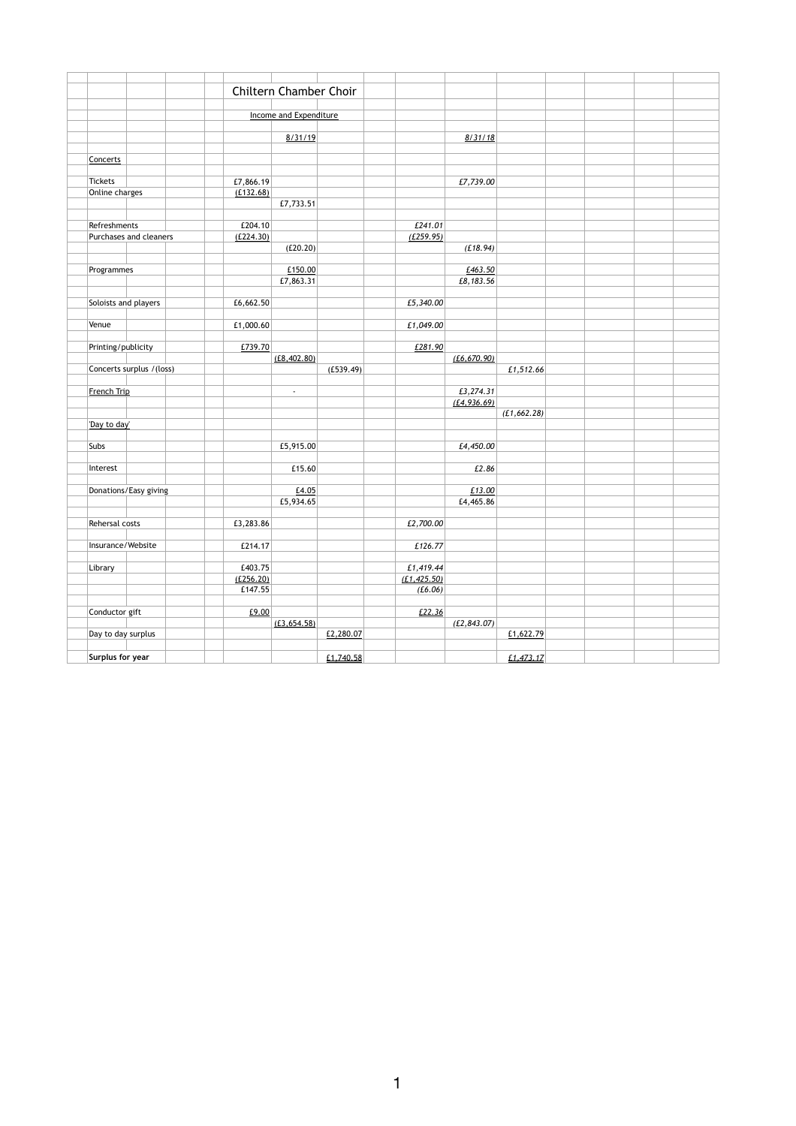|                      |                           |           | <b>Chiltern Chamber Choir</b> |           |              |              |              |  |  |
|----------------------|---------------------------|-----------|-------------------------------|-----------|--------------|--------------|--------------|--|--|
|                      |                           |           |                               |           |              |              |              |  |  |
|                      |                           |           | Income and Expenditure        |           |              |              |              |  |  |
|                      |                           |           |                               |           |              |              |              |  |  |
|                      |                           |           | 8/31/19                       |           |              | 8/31/18      |              |  |  |
|                      |                           |           |                               |           |              |              |              |  |  |
| Concerts             |                           |           |                               |           |              |              |              |  |  |
|                      |                           |           |                               |           |              |              |              |  |  |
| <b>Tickets</b>       |                           | £7,866.19 |                               |           |              | £7,739.00    |              |  |  |
| Online charges       |                           | (E132.68) |                               |           |              |              |              |  |  |
|                      |                           |           | £7,733.51                     |           |              |              |              |  |  |
|                      |                           |           |                               |           |              |              |              |  |  |
| Refreshments         |                           | £204.10   |                               |           | £241.01      |              |              |  |  |
|                      | Purchases and cleaners    | (E224.30) |                               |           | (E259.95)    |              |              |  |  |
|                      |                           |           | (E20.20)                      |           |              | (E18.94)     |              |  |  |
|                      |                           |           |                               |           |              |              |              |  |  |
|                      |                           |           | £150.00                       |           |              | £463.50      |              |  |  |
| Programmes           |                           |           | £7,863.31                     |           |              | £8,183.56    |              |  |  |
|                      |                           |           |                               |           |              |              |              |  |  |
|                      |                           |           |                               |           |              |              |              |  |  |
| Soloists and players |                           | £6,662.50 |                               |           | £5,340.00    |              |              |  |  |
|                      |                           |           |                               |           |              |              |              |  |  |
| Venue                |                           | £1,000.60 |                               |           | £1,049.00    |              |              |  |  |
|                      |                           |           |                               |           |              |              |              |  |  |
| Printing/publicity   |                           | £739.70   |                               |           | E281.90      |              |              |  |  |
|                      |                           |           | (E8, 402.80)                  |           |              | (E6, 670.90) |              |  |  |
|                      | Concerts surplus / (loss) |           |                               | (E539.49) |              |              | £1,512.66    |  |  |
|                      |                           |           |                               |           |              |              |              |  |  |
| French Trip          |                           |           | $\overline{\phantom{a}}$      |           |              | £3,274.31    |              |  |  |
|                      |                           |           |                               |           |              | (E4, 936.69) |              |  |  |
|                      |                           |           |                               |           |              |              | (E1, 662.28) |  |  |
| 'Day to day'         |                           |           |                               |           |              |              |              |  |  |
|                      |                           |           |                               |           |              |              |              |  |  |
| <b>Subs</b>          |                           |           | £5,915.00                     |           |              | £4,450.00    |              |  |  |
|                      |                           |           |                               |           |              |              |              |  |  |
| Interest             |                           |           | £15.60                        |           |              | £2.86        |              |  |  |
|                      |                           |           |                               |           |              |              |              |  |  |
|                      | Donations/Easy giving     |           | E4.05                         |           |              | £13.00       |              |  |  |
|                      |                           |           | £5,934.65                     |           |              | £4,465.86    |              |  |  |
|                      |                           |           |                               |           |              |              |              |  |  |
| Rehersal costs       |                           | £3,283.86 |                               |           | £2,700.00    |              |              |  |  |
|                      |                           |           |                               |           |              |              |              |  |  |
| Insurance/Website    |                           | £214.17   |                               |           | £126.77      |              |              |  |  |
|                      |                           |           |                               |           |              |              |              |  |  |
| Library              |                           | £403.75   |                               |           | £1,419.44    |              |              |  |  |
|                      |                           | (E256.20) |                               |           | (E1, 425.50) |              |              |  |  |
|                      |                           | £147.55   |                               |           | (E6.06)      |              |              |  |  |
|                      |                           |           |                               |           |              |              |              |  |  |
| Conductor gift       |                           | E9.00     |                               |           | E22.36       |              |              |  |  |
|                      |                           |           | (E3, 654.58)                  |           |              | (E2, 843.07) |              |  |  |
| Day to day surplus   |                           |           |                               | £2,280.07 |              |              | £1,622.79    |  |  |
|                      |                           |           |                               |           |              |              |              |  |  |
| Surplus for year     |                           |           |                               | £1,740.58 |              |              | £1,473.17    |  |  |

1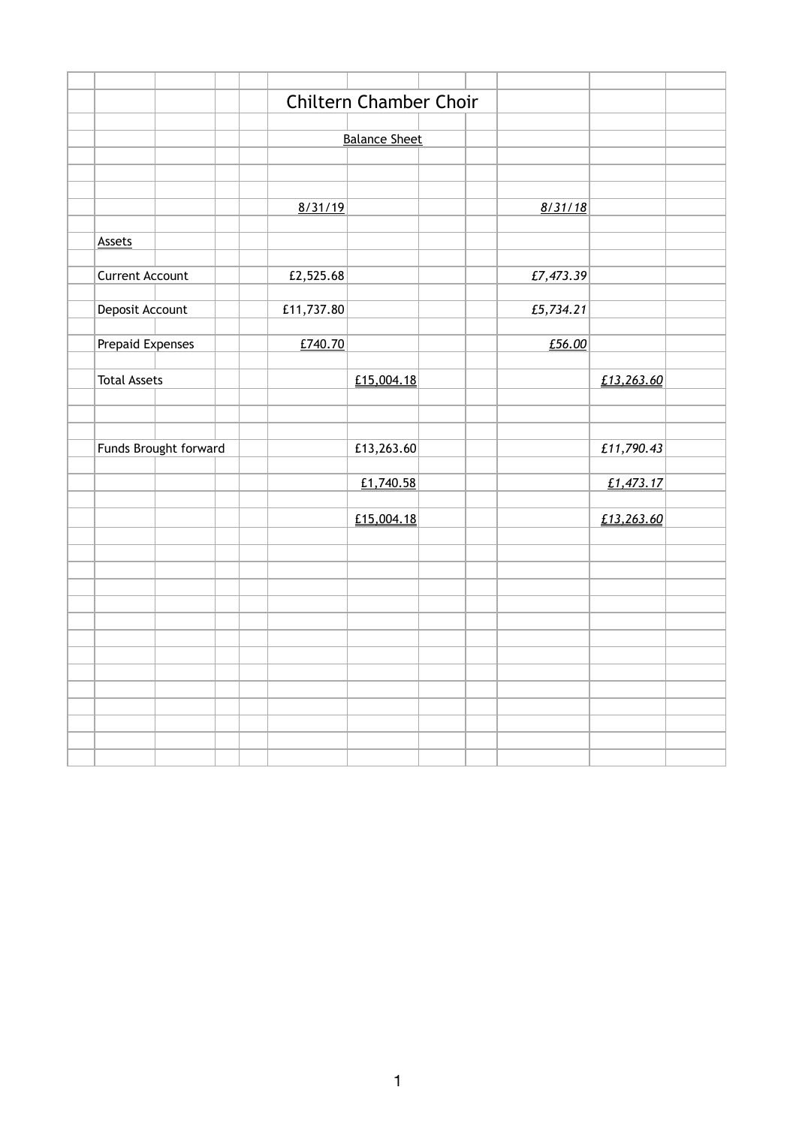|                        |                       |  |            | <b>Chiltern Chamber Choir</b> |  |           |            |  |
|------------------------|-----------------------|--|------------|-------------------------------|--|-----------|------------|--|
|                        |                       |  |            |                               |  |           |            |  |
|                        |                       |  |            | <b>Balance Sheet</b>          |  |           |            |  |
|                        |                       |  |            |                               |  |           |            |  |
|                        |                       |  |            |                               |  |           |            |  |
|                        |                       |  |            |                               |  |           |            |  |
|                        |                       |  | 8/31/19    |                               |  | 8/31/18   |            |  |
|                        |                       |  |            |                               |  |           |            |  |
| <b>Assets</b>          |                       |  |            |                               |  |           |            |  |
|                        |                       |  |            |                               |  |           |            |  |
| <b>Current Account</b> |                       |  | £2,525.68  |                               |  | £7,473.39 |            |  |
|                        |                       |  | £11,737.80 |                               |  |           |            |  |
| Deposit Account        |                       |  |            |                               |  | £5,734.21 |            |  |
| Prepaid Expenses       |                       |  | E740.70    |                               |  | £56.00    |            |  |
|                        |                       |  |            |                               |  |           |            |  |
| <b>Total Assets</b>    |                       |  |            | E15,004.18                    |  |           | £13,263.60 |  |
|                        |                       |  |            |                               |  |           |            |  |
|                        |                       |  |            |                               |  |           |            |  |
|                        |                       |  |            |                               |  |           |            |  |
|                        | Funds Brought forward |  |            | £13,263.60                    |  |           | £11,790.43 |  |
|                        |                       |  |            |                               |  |           |            |  |
|                        |                       |  |            | £1,740.58                     |  |           | £1,473.17  |  |
|                        |                       |  |            |                               |  |           |            |  |
|                        |                       |  |            | £15,004.18                    |  |           | £13,263.60 |  |
|                        |                       |  |            |                               |  |           |            |  |
|                        |                       |  |            |                               |  |           |            |  |
|                        |                       |  |            |                               |  |           |            |  |
|                        |                       |  |            |                               |  |           |            |  |
|                        |                       |  |            |                               |  |           |            |  |
|                        |                       |  |            |                               |  |           |            |  |
|                        |                       |  |            |                               |  |           |            |  |
|                        |                       |  |            |                               |  |           |            |  |
|                        |                       |  |            |                               |  |           |            |  |
|                        |                       |  |            |                               |  |           |            |  |
|                        |                       |  |            |                               |  |           |            |  |
|                        |                       |  |            |                               |  |           |            |  |
|                        |                       |  |            |                               |  |           |            |  |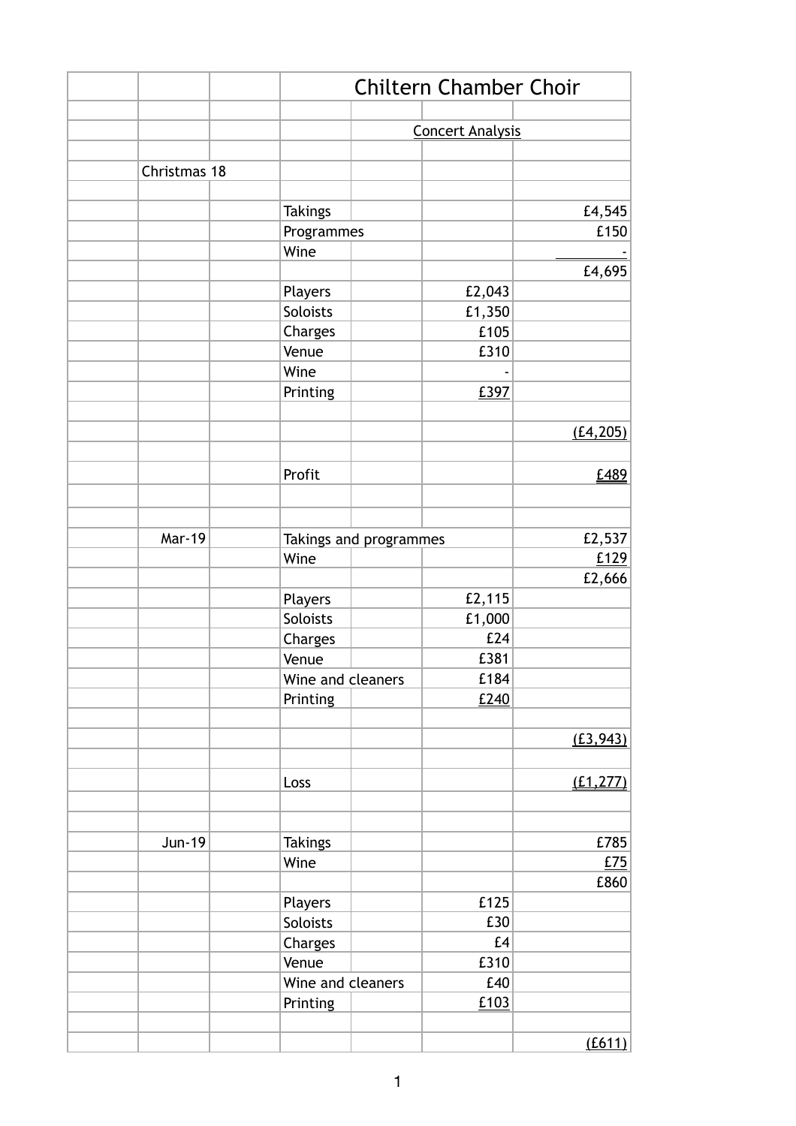|               | <b>Chiltern Chamber Choir</b> |                        |                         |           |  |  |  |
|---------------|-------------------------------|------------------------|-------------------------|-----------|--|--|--|
|               |                               |                        |                         |           |  |  |  |
|               |                               |                        | <b>Concert Analysis</b> |           |  |  |  |
| Christmas 18  |                               |                        |                         |           |  |  |  |
|               |                               |                        |                         |           |  |  |  |
|               | <b>Takings</b>                |                        |                         | £4,545    |  |  |  |
|               | Programmes                    |                        |                         | £150      |  |  |  |
|               | Wine                          |                        |                         |           |  |  |  |
|               |                               |                        |                         | £4,695    |  |  |  |
|               | Players                       |                        | £2,043                  |           |  |  |  |
|               | Soloists                      |                        | £1,350                  |           |  |  |  |
|               | Charges                       |                        | £105                    |           |  |  |  |
|               | Venue                         |                        | £310                    |           |  |  |  |
|               | Wine                          |                        |                         |           |  |  |  |
|               | Printing                      |                        | £397                    |           |  |  |  |
|               |                               |                        |                         |           |  |  |  |
|               |                               |                        |                         | (E4, 205) |  |  |  |
|               |                               |                        |                         |           |  |  |  |
|               | Profit                        |                        |                         | £489      |  |  |  |
|               |                               |                        |                         |           |  |  |  |
|               |                               |                        |                         |           |  |  |  |
| <b>Mar-19</b> |                               | Takings and programmes |                         | £2,537    |  |  |  |
|               | Wine                          |                        |                         | £129      |  |  |  |
|               |                               |                        |                         | £2,666    |  |  |  |
|               | Players                       |                        | £2,115                  |           |  |  |  |
|               | Soloists                      |                        | £1,000                  |           |  |  |  |
|               | Charges                       |                        | £24                     |           |  |  |  |
|               | Venue                         |                        | £381                    |           |  |  |  |
|               | Wine and cleaners             |                        | £184                    |           |  |  |  |
|               | Printing                      |                        | £240                    |           |  |  |  |
|               |                               |                        |                         |           |  |  |  |
|               |                               |                        |                         | (E3, 943) |  |  |  |
|               |                               |                        |                         |           |  |  |  |
|               | Loss                          |                        |                         | (E1, 277) |  |  |  |
|               |                               |                        |                         |           |  |  |  |
|               |                               |                        |                         |           |  |  |  |
| <b>Jun-19</b> | <b>Takings</b>                |                        |                         | £785      |  |  |  |
|               | Wine                          |                        |                         | £75       |  |  |  |
|               |                               |                        |                         | £860      |  |  |  |
|               | Players                       |                        | £125                    |           |  |  |  |
|               | Soloists                      |                        | £30                     |           |  |  |  |
|               | Charges                       |                        | £4                      |           |  |  |  |
|               | Venue                         |                        | £310                    |           |  |  |  |
|               | Wine and cleaners             |                        | £40                     |           |  |  |  |
|               | Printing                      |                        | £103                    |           |  |  |  |
|               |                               |                        |                         |           |  |  |  |
|               |                               |                        |                         | (E611)    |  |  |  |